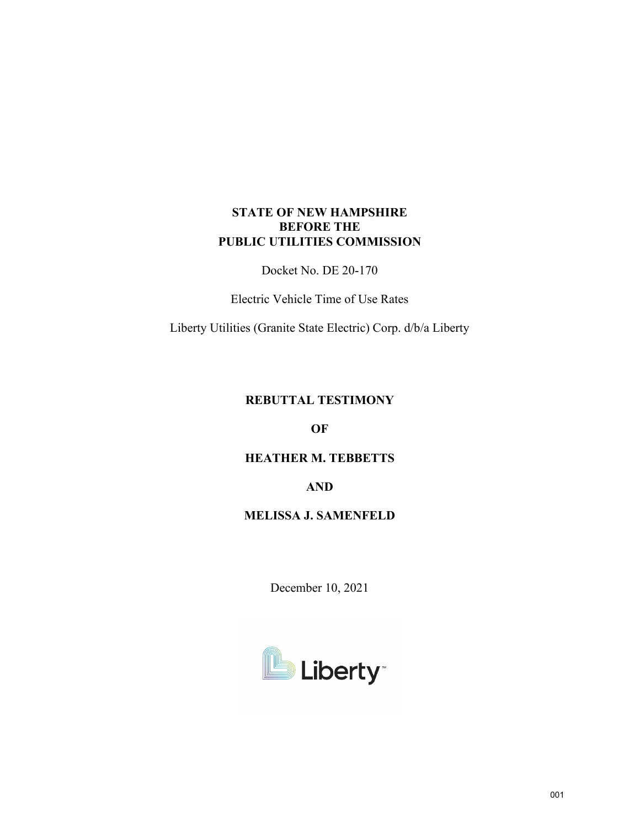# **STATE OF NEW HAMPSHIRE BEFORE THE PUBLIC UTILITIES COMMISSION**

Docket No. DE 20-170

Electric Vehicle Time of Use Rates

Liberty Utilities (Granite State Electric) Corp. d/b/a Liberty

# **REBUTTAL TESTIMONY**

**OF**

# **HEATHER M. TEBBETTS**

**AND**

# **MELISSA J. SAMENFELD**

December 10, 2021

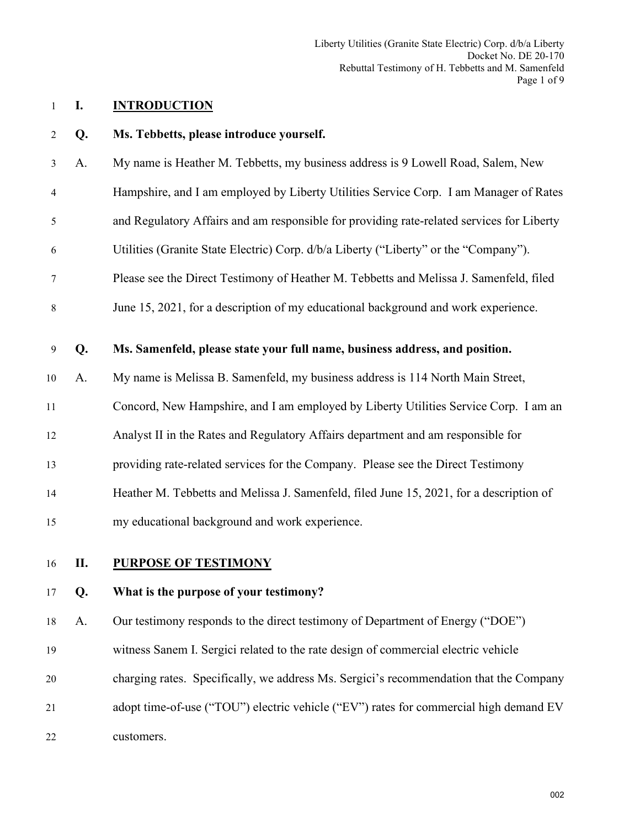Liberty Utilities (Granite State Electric) Corp. d/b/a Liberty Docket No. DE 20-170 Rebuttal Testimony of H. Tebbetts and M. Samenfeld Page 1 of 9

## 1 **I. INTRODUCTION**

#### 2 **Q. Ms. Tebbetts, please introduce yourself.**

- 3 A. My name is Heather M. Tebbetts, my business address is 9 Lowell Road, Salem, New
- 4 Hampshire, and I am employed by Liberty Utilities Service Corp. I am Manager of Rates

5 and Regulatory Affairs and am responsible for providing rate-related services for Liberty

- 6 Utilities (Granite State Electric) Corp. d/b/a Liberty ("Liberty" or the "Company").
- 7 Please see the Direct Testimony of Heather M. Tebbetts and Melissa J. Samenfeld, filed
- 8 June 15, 2021, for a description of my educational background and work experience.

### 9 **Q. Ms. Samenfeld, please state your full name, business address, and position.**

- 10 A. My name is Melissa B. Samenfeld, my business address is 114 North Main Street,
- 11 Concord, New Hampshire, and I am employed by Liberty Utilities Service Corp. I am an
- 12 Analyst II in the Rates and Regulatory Affairs department and am responsible for
- 13 providing rate-related services for the Company. Please see the Direct Testimony
- 14 Heather M. Tebbetts and Melissa J. Samenfeld, filed June 15, 2021, for a description of
- 15 my educational background and work experience.
- 

# 16 **II. PURPOSE OF TESTIMONY**

### 17 **Q. What is the purpose of your testimony?**

18 A. Our testimony responds to the direct testimony of Department of Energy ("DOE")

- 19 witness Sanem I. Sergici related to the rate design of commercial electric vehicle
- 20 charging rates. Specifically, we address Ms. Sergici's recommendation that the Company
- 21 adopt time-of-use ("TOU") electric vehicle ("EV") rates for commercial high demand EV 22 customers.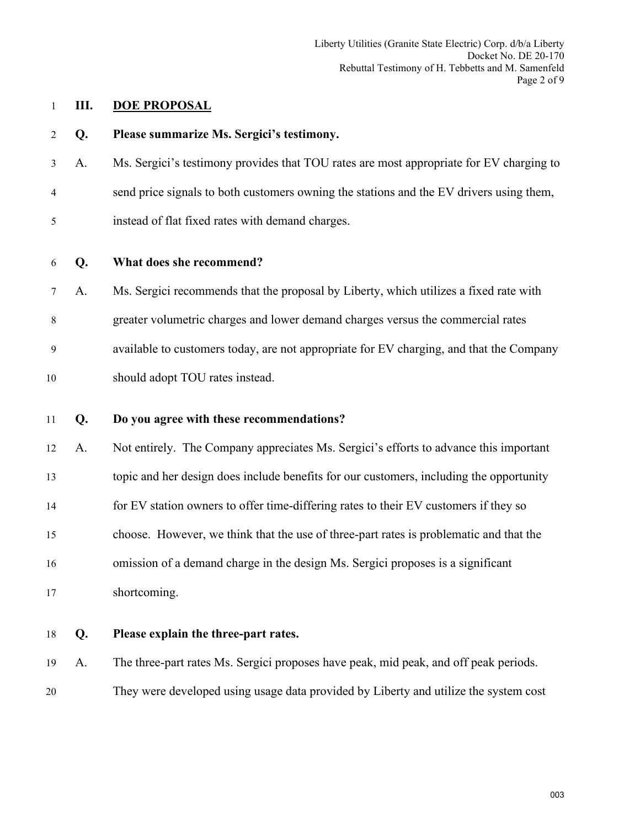Liberty Utilities (Granite State Electric) Corp. d/b/a Liberty Docket No. DE 20-170 Rebuttal Testimony of H. Tebbetts and M. Samenfeld Page 2 of 9

# 1 **III. DOE PROPOSAL**

| $\overline{2}$ | Q. | Please summarize Ms. Sergici's testimony.                                               |
|----------------|----|-----------------------------------------------------------------------------------------|
| $\mathfrak{Z}$ | A. | Ms. Sergici's testimony provides that TOU rates are most appropriate for EV charging to |
| 4              |    | send price signals to both customers owning the stations and the EV drivers using them, |
| 5              |    | instead of flat fixed rates with demand charges.                                        |
| 6              | Q. | What does she recommend?                                                                |
| $\tau$         | A. | Ms. Sergici recommends that the proposal by Liberty, which utilizes a fixed rate with   |
| 8              |    | greater volumetric charges and lower demand charges versus the commercial rates         |
| 9              |    | available to customers today, are not appropriate for EV charging, and that the Company |
| 10             |    | should adopt TOU rates instead.                                                         |
| 11             | Q. | Do you agree with these recommendations?                                                |
| 12             | A. | Not entirely. The Company appreciates Ms. Sergici's efforts to advance this important   |
| 13             |    | topic and her design does include benefits for our customers, including the opportunity |
| 14             |    | for EV station owners to offer time-differing rates to their EV customers if they so    |
| 15             |    | choose. However, we think that the use of three-part rates is problematic and that the  |
| 16             |    | omission of a demand charge in the design Ms. Sergici proposes is a significant         |
| 17             |    | shortcoming.                                                                            |
| 18             | Q. | Please explain the three-part rates.                                                    |
| 19             | A. | The three-part rates Ms. Sergici proposes have peak, mid peak, and off peak periods.    |
| 20             |    | They were developed using usage data provided by Liberty and utilize the system cost    |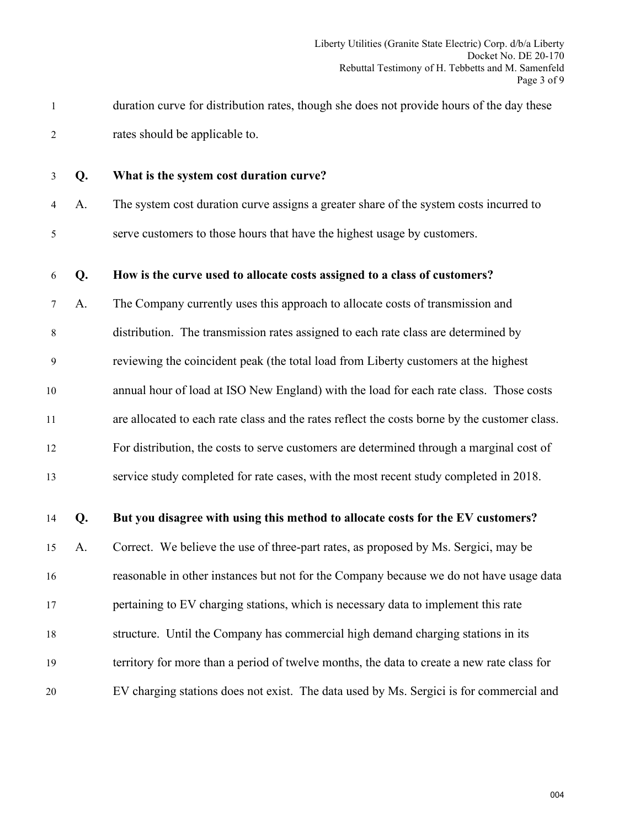1 duration curve for distribution rates, though she does not provide hours of the day these 2 rates should be applicable to.

## 3 **Q. What is the system cost duration curve?**

4 A. The system cost duration curve assigns a greater share of the system costs incurred to 5 serve customers to those hours that have the highest usage by customers.

#### 6 **Q. How is the curve used to allocate costs assigned to a class of customers?**

7 A. The Company currently uses this approach to allocate costs of transmission and 8 distribution. The transmission rates assigned to each rate class are determined by 9 reviewing the coincident peak (the total load from Liberty customers at the highest 10 annual hour of load at ISO New England) with the load for each rate class. Those costs 11 are allocated to each rate class and the rates reflect the costs borne by the customer class. 12 For distribution, the costs to serve customers are determined through a marginal cost of

13 service study completed for rate cases, with the most recent study completed in 2018.

## 14 **Q. But you disagree with using this method to allocate costs for the EV customers?**

15 A. Correct. We believe the use of three-part rates, as proposed by Ms. Sergici, may be 16 reasonable in other instances but not for the Company because we do not have usage data

17 pertaining to EV charging stations, which is necessary data to implement this rate

18 structure. Until the Company has commercial high demand charging stations in its

- 19 territory for more than a period of twelve months, the data to create a new rate class for
- 20 EV charging stations does not exist. The data used by Ms. Sergici is for commercial and

004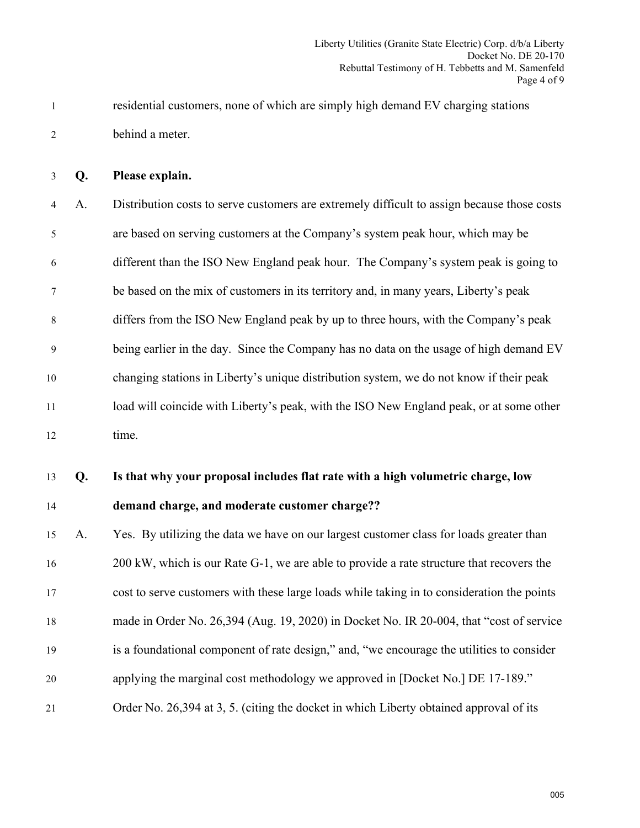1 residential customers, none of which are simply high demand EV charging stations 2 behind a meter.

3 **Q. Please explain.**

4 A. Distribution costs to serve customers are extremely difficult to assign because those costs 5 are based on serving customers at the Company's system peak hour, which may be 6 different than the ISO New England peak hour. The Company's system peak is going to 7 be based on the mix of customers in its territory and, in many years, Liberty's peak 8 differs from the ISO New England peak by up to three hours, with the Company's peak 9 being earlier in the day. Since the Company has no data on the usage of high demand EV 10 changing stations in Liberty's unique distribution system, we do not know if their peak 11 load will coincide with Liberty's peak, with the ISO New England peak, or at some other 12 time.

13 **Q. Is that why your proposal includes flat rate with a high volumetric charge, low** 

#### 14 **demand charge, and moderate customer charge??**

 A. Yes. By utilizing the data we have on our largest customer class for loads greater than 16 200 kW, which is our Rate G-1, we are able to provide a rate structure that recovers the cost to serve customers with these large loads while taking in to consideration the points made in Order No. 26,394 (Aug. 19, 2020) in Docket No. IR 20-004, that "cost of service is a foundational component of rate design," and, "we encourage the utilities to consider applying the marginal cost methodology we approved in [Docket No.] DE 17-189." Order No. 26,394 at 3, 5. (citing the docket in which Liberty obtained approval of its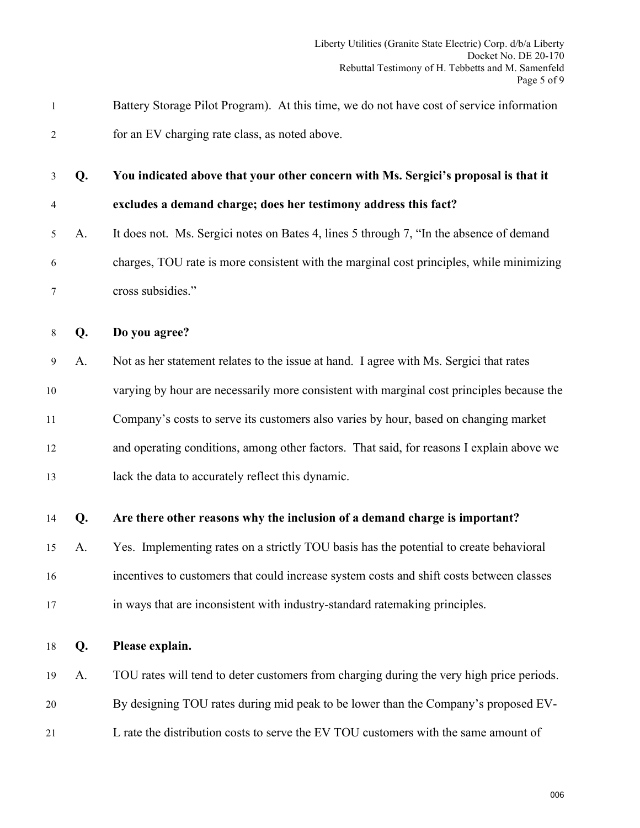| 1              |    | Battery Storage Pilot Program). At this time, we do not have cost of service information  |
|----------------|----|-------------------------------------------------------------------------------------------|
| $\overline{2}$ |    | for an EV charging rate class, as noted above.                                            |
| 3              | Q. | You indicated above that your other concern with Ms. Sergici's proposal is that it        |
| 4              |    | excludes a demand charge; does her testimony address this fact?                           |
| 5              | A. | It does not. Ms. Sergici notes on Bates 4, lines 5 through 7, "In the absence of demand   |
| 6              |    | charges, TOU rate is more consistent with the marginal cost principles, while minimizing  |
| 7              |    | cross subsidies."                                                                         |
| 8              | Q. | Do you agree?                                                                             |
| 9              | A. | Not as her statement relates to the issue at hand. I agree with Ms. Sergici that rates    |
| $10\,$         |    | varying by hour are necessarily more consistent with marginal cost principles because the |
| 11             |    | Company's costs to serve its customers also varies by hour, based on changing market      |
| 12             |    | and operating conditions, among other factors. That said, for reasons I explain above we  |
| 13             |    | lack the data to accurately reflect this dynamic.                                         |
| 14             | Q. | Are there other reasons why the inclusion of a demand charge is important?                |
| 15             | A. | Yes. Implementing rates on a strictly TOU basis has the potential to create behavioral    |
| 16             |    | incentives to customers that could increase system costs and shift costs between classes  |
| 17             |    | in ways that are inconsistent with industry-standard ratemaking principles.               |
| 18             | Q. | Please explain.                                                                           |
| 19             | A. | TOU rates will tend to deter customers from charging during the very high price periods.  |
| 20             |    | By designing TOU rates during mid peak to be lower than the Company's proposed EV-        |
| 21             |    | L rate the distribution costs to serve the EV TOU customers with the same amount of       |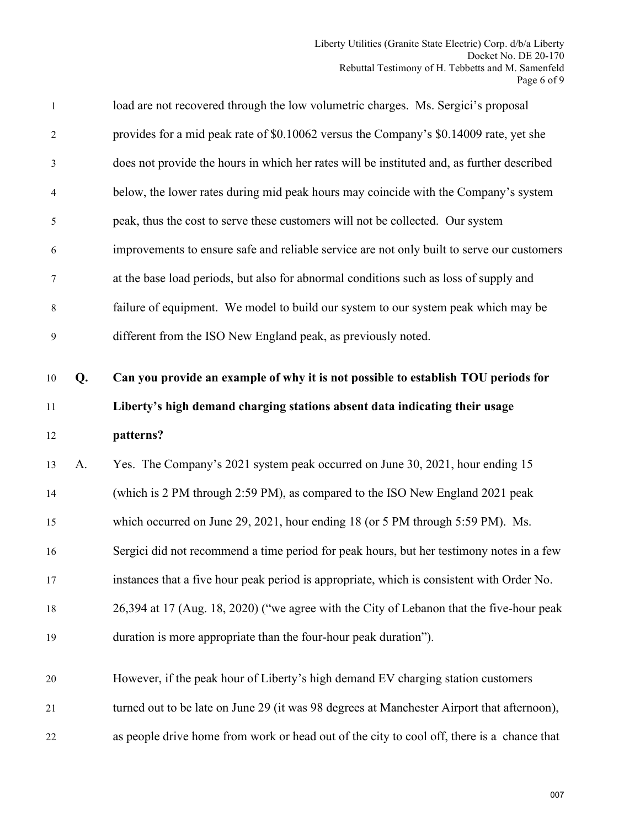| $\mathbf{1}$                     |    | load are not recovered through the low volumetric charges. Ms. Sergici's proposal          |
|----------------------------------|----|--------------------------------------------------------------------------------------------|
| $\overline{2}$                   |    | provides for a mid peak rate of \$0.10062 versus the Company's \$0.14009 rate, yet she     |
| 3                                |    | does not provide the hours in which her rates will be instituted and, as further described |
| $\overline{4}$                   |    | below, the lower rates during mid peak hours may coincide with the Company's system        |
| 5                                |    | peak, thus the cost to serve these customers will not be collected. Our system             |
| 6                                |    | improvements to ensure safe and reliable service are not only built to serve our customers |
| $\tau$                           |    | at the base load periods, but also for abnormal conditions such as loss of supply and      |
| 8                                |    | failure of equipment. We model to build our system to our system peak which may be         |
| 9                                |    | different from the ISO New England peak, as previously noted.                              |
|                                  |    |                                                                                            |
| 10                               | Q. | Can you provide an example of why it is not possible to establish TOU periods for          |
| 11                               |    | Liberty's high demand charging stations absent data indicating their usage                 |
| 12                               |    | patterns?                                                                                  |
|                                  |    |                                                                                            |
|                                  | A. | Yes. The Company's 2021 system peak occurred on June 30, 2021, hour ending 15              |
|                                  |    | (which is 2 PM through 2:59 PM), as compared to the ISO New England 2021 peak              |
|                                  |    | which occurred on June 29, 2021, hour ending 18 (or 5 PM through 5:59 PM). Ms.             |
|                                  |    | Sergici did not recommend a time period for peak hours, but her testimony notes in a few   |
|                                  |    | instances that a five hour peak period is appropriate, which is consistent with Order No.  |
| 13<br>14<br>15<br>16<br>17<br>18 |    | 26,394 at 17 (Aug. 18, 2020) ("we agree with the City of Lebanon that the five-hour peak   |
| 19                               |    | duration is more appropriate than the four-hour peak duration").                           |
|                                  |    |                                                                                            |
| 20                               |    | However, if the peak hour of Liberty's high demand EV charging station customers           |
| 21                               |    | turned out to be late on June 29 (it was 98 degrees at Manchester Airport that afternoon), |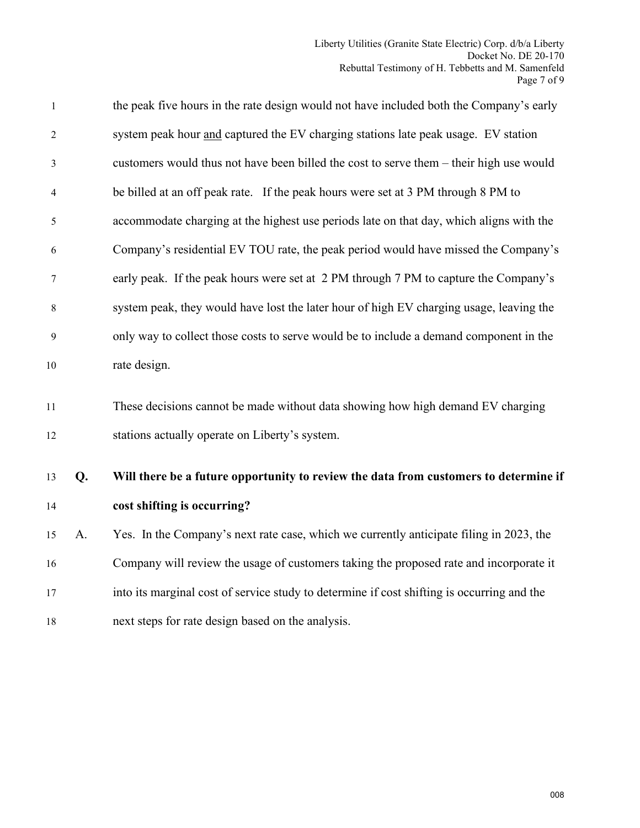| 1        |    | the peak five hours in the rate design would not have included both the Company's early                                           |
|----------|----|-----------------------------------------------------------------------------------------------------------------------------------|
| 2        |    | system peak hour and captured the EV charging stations late peak usage. EV station                                                |
| 3        |    | customers would thus not have been billed the cost to serve them – their high use would                                           |
| 4        |    | be billed at an off peak rate. If the peak hours were set at 3 PM through 8 PM to                                                 |
| 5        |    | accommodate charging at the highest use periods late on that day, which aligns with the                                           |
| 6        |    | Company's residential EV TOU rate, the peak period would have missed the Company's                                                |
| 7        |    | early peak. If the peak hours were set at 2 PM through 7 PM to capture the Company's                                              |
| 8        |    | system peak, they would have lost the later hour of high EV charging usage, leaving the                                           |
| 9        |    | only way to collect those costs to serve would be to include a demand component in the                                            |
| 10       |    | rate design.                                                                                                                      |
| 11<br>12 |    | These decisions cannot be made without data showing how high demand EV charging<br>stations actually operate on Liberty's system. |
| 13       | Q. | Will there be a future opportunity to review the data from customers to determine if                                              |
| 14       |    | cost shifting is occurring?                                                                                                       |
| 15       | A. | Yes. In the Company's next rate case, which we currently anticipate filing in 2023, the                                           |
| 16       |    | Company will review the usage of customers taking the proposed rate and incorporate it                                            |
| 17       |    | into its marginal cost of service study to determine if cost shifting is occurring and the                                        |
| 18       |    | next steps for rate design based on the analysis.                                                                                 |
|          |    |                                                                                                                                   |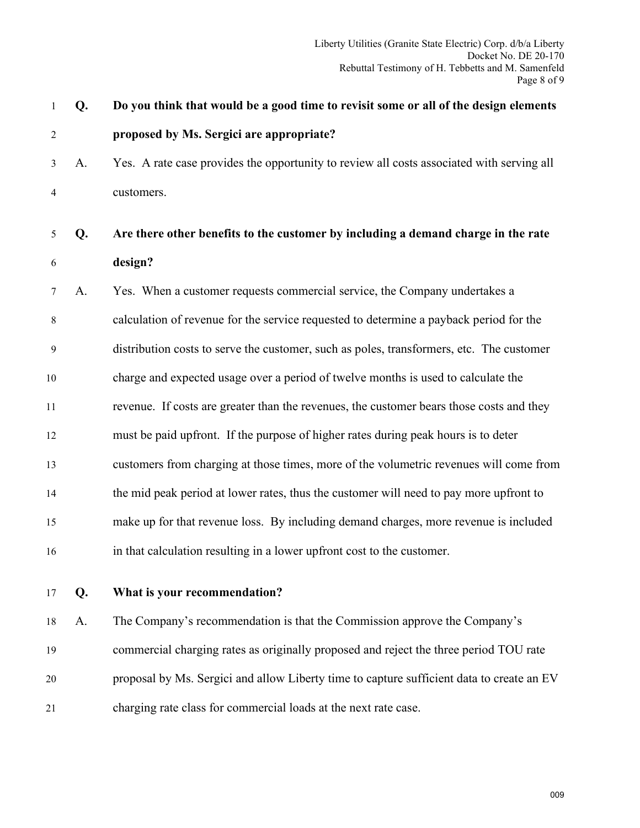| 1              | Q. | Do you think that would be a good time to revisit some or all of the design elements      |
|----------------|----|-------------------------------------------------------------------------------------------|
| $\overline{2}$ |    | proposed by Ms. Sergici are appropriate?                                                  |
| 3              | A. | Yes. A rate case provides the opportunity to review all costs associated with serving all |
| 4              |    | customers.                                                                                |
| 5              | Q. | Are there other benefits to the customer by including a demand charge in the rate         |
| 6              |    | design?                                                                                   |
| 7              | A. | Yes. When a customer requests commercial service, the Company undertakes a                |
| 8              |    | calculation of revenue for the service requested to determine a payback period for the    |
| 9              |    | distribution costs to serve the customer, such as poles, transformers, etc. The customer  |
| 10             |    | charge and expected usage over a period of twelve months is used to calculate the         |
| 11             |    | revenue. If costs are greater than the revenues, the customer bears those costs and they  |
| 12             |    | must be paid upfront. If the purpose of higher rates during peak hours is to deter        |
| 13             |    | customers from charging at those times, more of the volumetric revenues will come from    |
| 14             |    | the mid peak period at lower rates, thus the customer will need to pay more upfront to    |
| 15             |    | make up for that revenue loss. By including demand charges, more revenue is included      |
| 16             |    | in that calculation resulting in a lower upfront cost to the customer.                    |
| $17\,$         | Q. | What is your recommendation?                                                              |
| 18             | A. | The Company's recommendation is that the Commission approve the Company's                 |
| 19             |    | commercial charging rates as originally proposed and reject the three period TOU rate     |
| 20             |    | proposal by Ms. Sergici and allow Liberty time to capture sufficient data to create an EV |
|                |    |                                                                                           |

21 charging rate class for commercial loads at the next rate case.

009